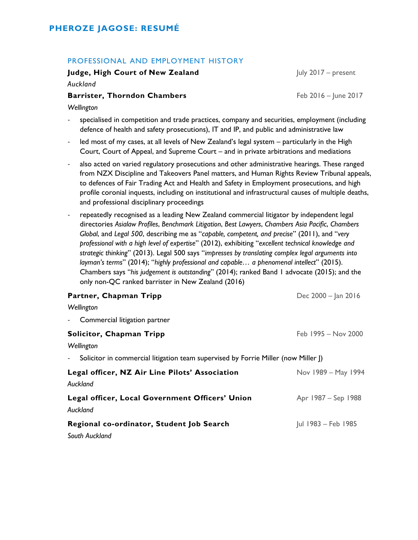## PROFESSIONAL AND EMPLOYMENT HISTORY

#### **Judge, High Court of New Zealand** July 2017 – present

*Auckland*

# **Barrister, Thorndon Chambers** Feb 2016 – June 2017

*Wellington*

- specialised in competition and trade practices, company and securities, employment (including defence of health and safety prosecutions), IT and IP, and public and administrative law
- led most of my cases, at all levels of New Zealand's legal system particularly in the High Court, Court of Appeal, and Supreme Court – and in private arbitrations and mediations
- also acted on varied regulatory prosecutions and other administrative hearings. These ranged from NZX Discipline and Takeovers Panel matters, and Human Rights Review Tribunal appeals, to defences of Fair Trading Act and Health and Safety in Employment prosecutions, and high profile coronial inquests, including on institutional and infrastructural causes of multiple deaths, and professional disciplinary proceedings
- repeatedly recognised as a leading New Zealand commercial litigator by independent legal directories *Asialaw Profiles*, *Benchmark Litigation*, *Best Lawyers*, *Chambers Asia Pacific*, *Chambers Global*, and *Legal 500*, describing me as "*capable, competent, and precise*" (2011), and "*very professional with a high level of expertise*" (2012), exhibiting "*excellent technical knowledge and strategic thinking*" (2013). Legal 500 says "*impresses by translating complex legal arguments into layman's terms*" (2014); "*highly professional and capable… a phenomenal intellect*" (2015). Chambers says "*his judgement is outstanding*" (2014); ranked Band 1 advocate (2015); and the only non-QC ranked barrister in New Zealand (2016)

| Partner, Chapman Tripp                                                                           | Dec 2000 - Jan 2016 |
|--------------------------------------------------------------------------------------------------|---------------------|
| Wellington                                                                                       |                     |
| - Commercial litigation partner                                                                  |                     |
| Solicitor, Chapman Tripp                                                                         | Feb 1995 - Nov 2000 |
| Wellington                                                                                       |                     |
| Solicitor in commercial litigation team supervised by Forrie Miller (now Miller  )<br>$\sim 100$ |                     |
| Legal officer, NZ Air Line Pilots' Association<br>Auckland                                       | Nov 1989 - May 1994 |
| Legal officer, Local Government Officers' Union<br>Auckland                                      | Apr 1987 – Sep 1988 |
| Regional co-ordinator, Student Job Search<br>South Auckland                                      | Jul 1983 - Feb 1985 |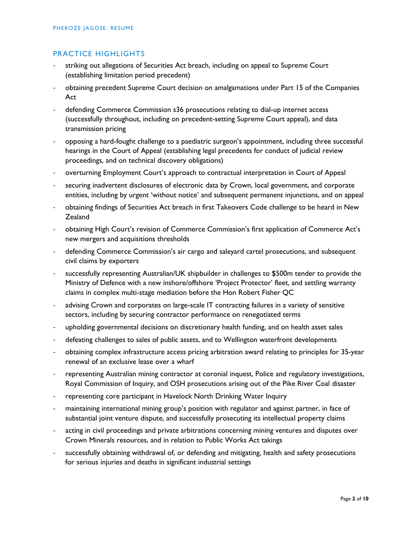## PRACTICE HIGHLIGHTS

- striking out allegations of Securities Act breach, including on appeal to Supreme Court (establishing limitation period precedent)
- obtaining precedent Supreme Court decision on amalgamations under Part 15 of the Companies Act
- defending Commerce Commission s36 prosecutions relating to dial-up internet access (successfully throughout, including on precedent-setting Supreme Court appeal), and data transmission pricing
- opposing a hard-fought challenge to a paediatric surgeon's appointment, including three successful hearings in the Court of Appeal (establishing legal precedents for conduct of judicial review proceedings, and on technical discovery obligations)
- overturning Employment Court's approach to contractual interpretation in Court of Appeal
- securing inadvertent disclosures of electronic data by Crown, local government, and corporate entities, including by urgent 'without notice' and subsequent permanent injunctions, and on appeal
- obtaining findings of Securities Act breach in first Takeovers Code challenge to be heard in New Zealand
- obtaining High Court's revision of Commerce Commission's first application of Commerce Act's new mergers and acquisitions thresholds
- defending Commerce Commission's air cargo and saleyard cartel prosecutions, and subsequent civil claims by exporters
- successfully representing Australian/UK shipbuilder in challenges to \$500m tender to provide the Ministry of Defence with a new inshore/offshore 'Project Protector' fleet, and settling warranty claims in complex multi-stage mediation before the Hon Robert Fisher QC
- advising Crown and corporates on large-scale IT contracting failures in a variety of sensitive sectors, including by securing contractor performance on renegotiated terms
- upholding governmental decisions on discretionary health funding, and on health asset sales
- defeating challenges to sales of public assets, and to Wellington waterfront developments
- obtaining complex infrastructure access pricing arbitration award relating to principles for 35-year renewal of an exclusive lease over a wharf
- representing Australian mining contractor at coronial inquest, Police and regulatory investigations, Royal Commission of Inquiry, and OSH prosecutions arising out of the Pike River Coal disaster
- representing core participant in Havelock North Drinking Water Inquiry
- maintaining international mining group's position with regulator and against partner, in face of substantial joint venture dispute, and successfully prosecuting its intellectual property claims
- acting in civil proceedings and private arbitrations concerning mining ventures and disputes over Crown Minerals resources, and in relation to Public Works Act takings
- successfully obtaining withdrawal of, or defending and mitigating, health and safety prosecutions for serious injuries and deaths in significant industrial settings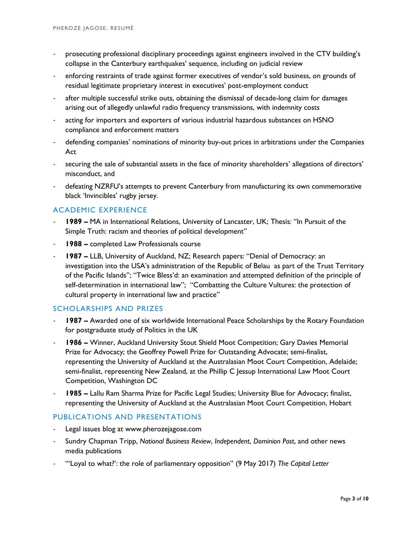- prosecuting professional disciplinary proceedings against engineers involved in the CTV building's collapse in the Canterbury earthquakes' sequence, including on judicial review
- enforcing restraints of trade against former executives of vendor's sold business, on grounds of residual legitimate proprietary interest in executives' post-employment conduct
- after multiple successful strike outs, obtaining the dismissal of decade-long claim for damages arising out of allegedly unlawful radio frequency transmissions, with indemnity costs
- acting for importers and exporters of various industrial hazardous substances on HSNO compliance and enforcement matters
- defending companies' nominations of minority buy-out prices in arbitrations under the Companies Act
- securing the sale of substantial assets in the face of minority shareholders' allegations of directors' misconduct, and
- defeating NZRFU's attempts to prevent Canterbury from manufacturing its own commemorative black 'Invincibles' rugby jersey.

# ACADEMIC EXPERIENCE

- **1989 –** MA in International Relations, University of Lancaster, UK; Thesis: "In Pursuit of the Simple Truth: racism and theories of political development"
- **1988 –** completed Law Professionals course
- **1987 –** LLB, University of Auckland, NZ; Research papers: "Denial of Democracy: an investigation into the USA's administration of the Republic of Belau as part of the Trust Territory of the Pacific Islands"; "Twice Bless'd: an examination and attempted definition of the principle of self-determination in international law"; "Combatting the Culture Vultures: the protection of cultural property in international law and practice"

### SCHOLARSHIPS AND PRIZES

- **1987 Awarded one of six worldwide International Peace Scholarships by the Rotary Foundation** for postgraduate study of Politics in the UK
- **1986 –** Winner, Auckland University Stout Shield Moot Competition; Gary Davies Memorial Prize for Advocacy; the Geoffrey Powell Prize for Outstanding Advocate; semi-finalist, representing the University of Auckland at the Australasian Moot Court Competition, Adelaide; semi-finalist, representing New Zealand, at the Phillip C Jessup International Law Moot Court Competition, Washington DC
- **1985 –** Lallu Ram Sharma Prize for Pacific Legal Studies; University Blue for Advocacy; finalist, representing the University of Auckland at the Australasian Moot Court Competition, Hobart

### PUBLICATIONS AND PRESENTATIONS

- Legal issues blog at www.pherozejagose.com
- Sundry Chapman Tripp, *National Business Review*, *Independent*, *Dominion Post*, and other news media publications
- "'Loyal to what?': the role of parliamentary opposition" (9 May 2017) *The Capital Letter*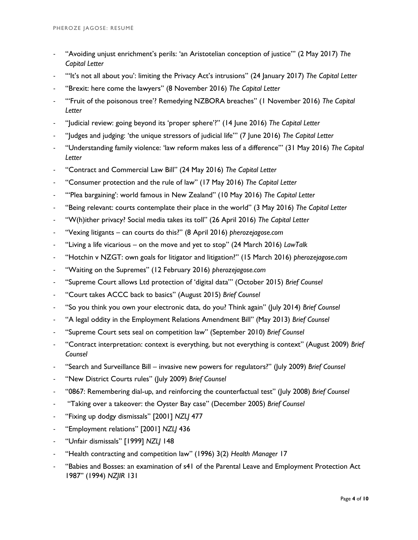- "Avoiding unjust enrichment's perils: 'an Aristotelian conception of justice'" (2 May 2017) *The Capital Letter*
- "'It's not all about you': limiting the Privacy Act's intrusions" (24 January 2017) *The Capital Letter*
- "Brexit: here come the lawyers" (8 November 2016) *The Capital Letter*
- "'Fruit of the poisonous tree'? Remedying NZBORA breaches" (1 November 2016) *The Capital Letter*
- "Judicial review: going beyond its 'proper sphere'?" (14 June 2016) *The Capital Letter*
- "Judges and judging: 'the unique stressors of judicial life'" (7 June 2016) *The Capital Letter*
- "Understanding family violence: 'law reform makes less of a difference'" (31 May 2016) *The Capital Letter*
- "Contract and Commercial Law Bill" (24 May 2016) *The Capital Letter*
- "Consumer protection and the rule of law" (17 May 2016) *The Capital Letter*
- "'Plea bargaining': world famous in New Zealand" (10 May 2016) *The Capital Letter*
- "Being relevant: courts contemplate their place in the world" (3 May 2016) *The Capital Letter*
- "W(h)ither privacy? Social media takes its toll" (26 April 2016) *The Capital Letter*
- "Vexing litigants can courts do this?" (8 April 2016) *pherozejagose.com*
- "Living a life vicarious on the move and yet to stop" (24 March 2016) *LawTalk*
- "Hotchin v NZGT: own goals for litigator and litigation?" (15 March 2016) *pherozejagose.com*
- "Waiting on the Supremes" (12 February 2016) *pherozejagose.com*
- "Supreme Court allows Ltd protection of 'digital data'" (October 2015) *Brief Counsel*
- "Court takes ACCC back to basics" (August 2015) *Brief Counsel*
- "So you think you own your electronic data, do you? Think again" (July 2014) *Brief Counsel*
- "A legal oddity in the Employment Relations Amendment Bill" (May 2013) *Brief Counsel*
- "Supreme Court sets seal on competition law" (September 2010) *Brief Counsel*
- "Contract interpretation: context is everything, but not everything is context" (August 2009) *Brief Counsel*
- "Search and Surveillance Bill invasive new powers for regulators?" (July 2009) *Brief Counsel*
- "New District Courts rules" (July 2009) *Brief Counsel*
- "0867: Remembering dial-up, and reinforcing the counterfactual test" (July 2008) *Brief Counsel*
- "Taking over a takeover: the Oyster Bay case" (December 2005) *Brief Counsel*
- "Fixing up dodgy dismissals" [2001] *NZLJ* 477
- "Employment relations" [2001] *NZLJ* 436
- "Unfair dismissals" [1999] *NZLJ* 148
- "Health contracting and competition law" (1996) 3(2) *Health Manager* 17
- "Babies and Bosses: an examination of s41 of the Parental Leave and Employment Protection Act 1987" (1994) *NZJIR* 131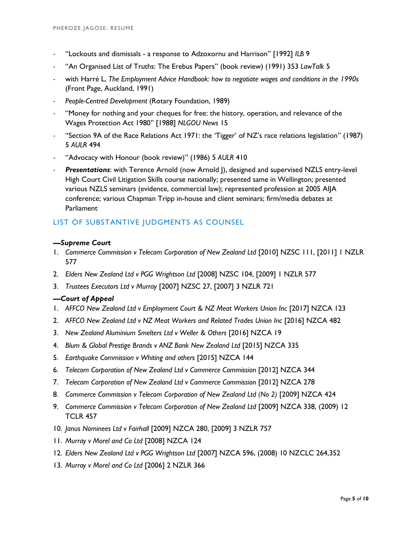- "Lockouts and dismissals a response to Adzoxornu and Harrison" [1992] *ILB* 9
- "An Organised List of Truths: The Erebus Papers" (book review) (1991) 353 LawTalk 5
- with Harré L, *The Employment Advice Handbook: how to negotiate wages and conditions in the 1990s* (Front Page, Auckland, 1991)
- People-Centred Development (Rotary Foundation, 1989)
- "Money for nothing and your cheques for free: the history, operation, and relevance of the Wages Protection Act 1980" [1988] *NLGOU News* 15
- "Section 9A of the Race Relations Act 1971: the 'Tigger' of NZ's race relations legislation" (1987) 5 *AULR* 494
- "Advocacy with Honour (book review)" (1986) 5 *AULR* 410
- *Presentations*: with Terence Arnold (now Arnold J), designed and supervised NZLS entry-level High Court Civil Litigation Skills course nationally; presented same in Wellington; presented various NZLS seminars (evidence, commercial law); represented profession at 2005 AIJA conference; various Chapman Tripp in-house and client seminars; firm/media debates at **Parliament**

### LIST OF SUBSTANTIVE JUDGMENTS AS COUNSEL

#### *—Supreme Court*

- 1. *Commerce Commission v Telecom Corporation of New Zealand Ltd* [2010] NZSC 111, [2011] 1 NZLR 577
- 2. *Elders New Zealand Ltd v PGG Wrightson Ltd* [2008] NZSC 104, [2009] 1 NZLR 577
- 3. *Trustees Executors Ltd v Murray* [2007] NZSC 27, [2007] 3 NZLR 721

### *—Court of Appeal*

- 1. AFFCO New Zealand Ltd v Employment Court & NZ Meat Workers Union Inc [2017] NZCA 123
- 2. AFFCO New Zealand Ltd v NZ Meat Workers and Related Trades Union Inc [2016] NZCA 482
- 3. *New Zealand Aluminium Smelters Ltd v Weller & Others* [2016] NZCA 19
- 4. *Blum & Global Prestige Brands v ANZ Bank New Zealand Ltd* [2015] NZCA 335
- 5. *Earthquake Commission v Whiting and others* [2015] NZCA 144
- 6. *Telecom Corporation of New Zealand Ltd v Commerce Commission* [2012] NZCA 344
- 7. *Telecom Corporation of New Zealand Ltd v Commerce Commission* [2012] NZCA 278
- 8. *Commerce Commission v Telecom Corporation of New Zealand Ltd (No 2)* [2009] NZCA 424
- 9. *Commerce Commission v Telecom Corporation of New Zealand Ltd* [2009] NZCA 338, (2009) 12 TCLR 457
- 10. *Janus Nominees Ltd v Fairhall* [2009] NZCA 280, [2009] 3 NZLR 757
- 11. *Murray v Morel and Co Ltd* [2008] NZCA 124
- 12. *Elders New Zealand Ltd v PGG Wrightson Ltd* [2007] NZCA 596, (2008) 10 NZCLC 264,352
- 13. *Murray v Morel and Co Ltd* [2006] 2 NZLR 366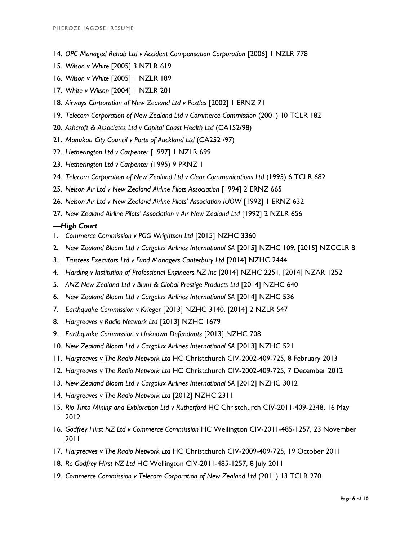- 14. *OPC Managed Rehab Ltd v Accident Compensation Corporation* [2006] 1 NZLR 778
- 15. *Wilson v White* [2005] 3 NZLR 619
- 16. *Wilson v White* [2005] 1 NZLR 189
- 17. *White v Wilson* [2004] 1 NZLR 201
- 18. *Airways Corporation of New Zealand Ltd v Postles* [2002] 1 ERNZ 71
- 19. *Telecom Corporation of New Zealand Ltd v Commerce Commission* (2001) 10 TCLR 182
- 20. *Ashcroft & Associates Ltd v Capital Coast Health Ltd* (CA152/98)
- 21. *Manukau City Council v Ports of Auckland Ltd* (CA252 /97)
- 22. *Hetherington Ltd v Carpenter* [1997] 1 NZLR 699
- 23. *Hetherington Ltd v Carpenter* (1995) 9 PRNZ 1
- 24. *Telecom Corporation of New Zealand Ltd v Clear Communications Ltd* (1995) 6 TCLR 682
- 25. *Nelson Air Ltd v New Zealand Airline Pilots Association* [1994] 2 ERNZ 665
- 26. *Nelson Air Ltd v New Zealand Airline Pilots' Association IUOW* [1992] 1 ERNZ 632
- 27. *New Zealand Airline Pilots' Association v Air New Zealand Ltd* [1992] 2 NZLR 656

### *—High Court*

- 1. *Commerce Commission v PGG Wrightson Ltd* [2015] NZHC 3360
- 2. *New Zealand Bloom Ltd v Cargolux Airlines International SA* [2015] NZHC 109, [2015] NZCCLR 8
- 3. *Trustees Executors Ltd v Fund Managers Canterbury Ltd* [2014] NZHC 2444
- 4. *Harding v Institution of Professional Engineers NZ Inc* [2014] NZHC 2251, [2014] NZAR 1252
- 5. *ANZ New Zealand Ltd v Blum & Global Prestige Products Ltd* [2014] NZHC 640
- 6. *New Zealand Bloom Ltd v Cargolux Airlines International SA* [2014] NZHC 536
- 7. *Earthquake Commission v Krieger* [2013] NZHC 3140, [2014] 2 NZLR 547
- 8. *Hargreaves v Radio Network Ltd* [2013] NZHC 1679
- 9. *Earthquake Commission v Unknown Defendants* [2013] NZHC 708
- 10. *New Zealand Bloom Ltd v Cargolux Airlines International SA* [2013] NZHC 521
- 11. *Hargreaves v The Radio Network Ltd* HC Christchurch CIV-2002-409-725, 8 February 2013
- 12. *Hargreaves v The Radio Network Ltd* HC Christchurch CIV-2002-409-725, 7 December 2012
- 13. *New Zealand Bloom Ltd v Cargolux Airlines International SA* [2012] NZHC 3012
- 14. *Hargreaves v The Radio Network Ltd* [2012] NZHC 2311
- 15. *Rio Tinto Mining and Exploration Ltd v Rutherford* HC Christchurch CIV-2011-409-2348, 16 May 2012
- 16. *Godfrey Hirst NZ Ltd v Commerce Commission* HC Wellington CIV-2011-485-1257, 23 November 2011
- 17. *Hargreaves v The Radio Network Ltd* HC Christchurch CIV-2009-409-725, 19 October 2011
- 18. *Re Godfrey Hirst NZ Ltd* HC Wellington CIV-2011-485-1257, 8 July 2011
- 19. *Commerce Commission v Telecom Corporation of New Zealand Ltd* (2011) 13 TCLR 270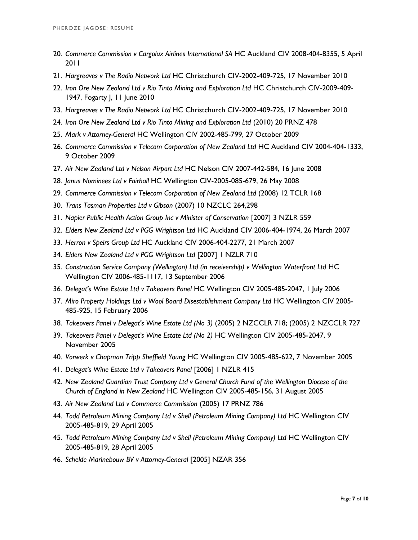- 20. *Commerce Commission v Cargolux Airlines International SA* HC Auckland CIV 2008-404-8355, 5 April 2011
- 21. *Hargreaves v The Radio Network Ltd* HC Christchurch CIV-2002-409-725, 17 November 2010
- 22. *Iron Ore New Zealand Ltd v Rio Tinto Mining and Exploration Ltd* HC Christchurch CIV-2009-409- 1947, Fogarty J, 11 June 2010
- 23. *Hargreaves v The Radio Network Ltd* HC Christchurch CIV-2002-409-725, 17 November 2010
- 24. *Iron Ore New Zealand Ltd v Rio Tinto Mining and Exploration Ltd* (2010) 20 PRNZ 478
- 25. *Mark v Attorney-General* HC Wellington CIV 2002-485-799, 27 October 2009
- 26. *Commerce Commission v Telecom Corporation of New Zealand Ltd* HC Auckland CIV 2004-404-1333, 9 October 2009
- 27. *Air New Zealand Ltd v Nelson Airport Ltd* HC Nelson CIV 2007-442-584, 16 June 2008
- 28. *Janus Nominees Ltd v Fairhall* HC Wellington CIV-2005-085-679, 26 May 2008
- 29. *Commerce Commission v Telecom Corporation of New Zealand Ltd* (2008) 12 TCLR 168
- 30. *Trans Tasman Properties Ltd v Gibson* (2007) 10 NZCLC 264,298
- 31. *Napier Public Health Action Group Inc v Minister of Conservation* [2007] 3 NZLR 559
- 32. *Elders New Zealand Ltd v PGG Wrightson Ltd* HC Auckland CIV 2006-404-1974, 26 March 2007
- 33. *Herron v Speirs Group Ltd* HC Auckland CIV 2006-404-2277, 21 March 2007
- 34. *Elders New Zealand Ltd v PGG Wrightson Ltd* [2007] 1 NZLR 710
- 35. *Construction Service Company (Wellington) Ltd (in receivership) v Wellington Waterfront Ltd* HC Wellington CIV 2006-485-1117, 13 September 2006
- 36. *Delegat's Wine Estate Ltd v Takeovers Panel* HC Wellington CIV 2005-485-2047, 1 July 2006
- 37. *Miro Property Holdings Ltd v Wool Board Disestablishment Company Ltd* HC Wellington CIV 2005- 485-925, 15 February 2006
- 38. *Takeovers Panel v Delegat's Wine Estate Ltd (No 3)* (2005) 2 NZCCLR 718; (2005) 2 NZCCLR 727
- 39. *Takeovers Panel v Delegat's Wine Estate Ltd (No 2)* HC Wellington CIV 2005-485-2047, 9 November 2005
- 40. *Vorwerk v Chapman Tripp Sheffield Young* HC Wellington CIV 2005-485-622, 7 November 2005
- 41. *Delegat's Wine Estate Ltd v Takeovers Panel* [2006] 1 NZLR 415
- 42. *New Zealand Guardian Trust Company Ltd v General Church Fund of the Wellington Diocese of the Church of England in New Zealand* HC Wellington CIV 2005-485-156, 31 August 2005
- 43. *Air New Zealand Ltd v Commerce Commission* (2005) 17 PRNZ 786
- 44. *Todd Petroleum Mining Company Ltd v Shell (Petroleum Mining Company) Ltd* HC Wellington CIV 2005-485-819, 29 April 2005
- 45. Todd Petroleum Mining Company Ltd v Shell (Petroleum Mining Company) Ltd HC Wellington CIV 2005-485-819, 28 April 2005
- 46. *Schelde Marinebouw BV v Attorney-General* [2005] NZAR 356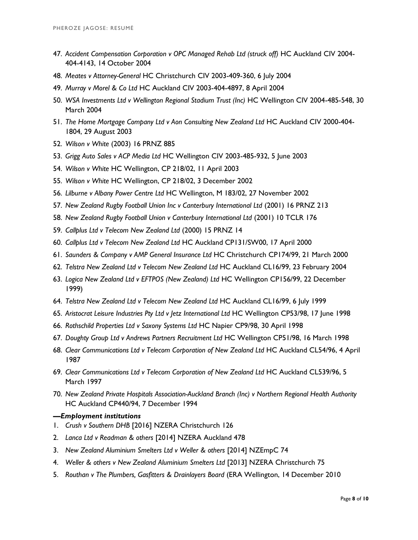- 47. *Accident Compensation Corporation v OPC Managed Rehab Ltd (struck off)* HC Auckland CIV 2004- 404-4143, 14 October 2004
- 48. *Meates v Attorney-General* HC Christchurch CIV 2003-409-360, 6 July 2004
- 49. *Murray v Morel & Co Ltd* HC Auckland CIV 2003-404-4897, 8 April 2004
- 50. *WSA Investments Ltd v Wellington Regional Stadium Trust (Inc)* HC Wellington CIV 2004-485-548, 30 March 2004
- 51. *The Home Mortgage Company Ltd v Aon Consulting New Zealand Ltd* HC Auckland CIV 2000-404- 1804, 29 August 2003
- 52. *Wilson v White* (2003) 16 PRNZ 885
- 53. *Grigg Auto Sales v ACP Media Ltd* HC Wellington CIV 2003-485-932, 5 June 2003
- 54. *Wilson v White* HC Wellington, CP 218/02, 11 April 2003
- 55. *Wilson v White* HC Wellington, CP 218/02, 3 December 2002
- 56. *Lilburne v Albany Power Centre Ltd* HC Wellington, M 183/02, 27 November 2002
- 57. *New Zealand Rugby Football Union Inc v Canterbury International Ltd* (2001) 16 PRNZ 213
- 58. *New Zealand Rugby Football Union v Canterbury International Ltd* (2001) 10 TCLR 176
- 59. *Callplus Ltd v Telecom New Zealand Ltd* (2000) 15 PRNZ 14
- 60. *Callplus Ltd v Telecom New Zealand Ltd* HC Auckland CP131/SW00, 17 April 2000
- 61. *Saunders & Company v AMP General Insurance Ltd* HC Christchurch CP174/99, 21 March 2000
- 62. *Telstra New Zealand Ltd v Telecom New Zealand Ltd* HC Auckland CL16/99, 23 February 2004
- 63. *Logica New Zealand Ltd v EFTPOS (New Zealand) Ltd* HC Wellington CP156/99, 22 December 1999)
- 64. *Telstra New Zealand Ltd v Telecom New Zealand Ltd* HC Auckland CL16/99, 6 July 1999
- 65. *Aristocrat Leisure Industries Pty Ltd v Jetz International Ltd* HC Wellington CP53/98, 17 June 1998
- 66. *Rothschild Properties Ltd v Saxony Systems Ltd* HC Napier CP9/98, 30 April 1998
- 67. *Doughty Group Ltd v Andrews Partners Recruitment Ltd* HC Wellington CP51/98, 16 March 1998
- 68. *Clear Communications Ltd v Telecom Corporation of New Zealand Ltd* HC Auckland CL54/96, 4 April 1987
- 69. *Clear Communications Ltd v Telecom Corporation of New Zealand Ltd* HC Auckland CL539/96, 5 March 1997
- 70. *New Zealand Private Hospitals Association-Auckland Branch (Inc) v Northern Regional Health Authority* HC Auckland CP440/94, 7 December 1994

#### *—Employment institutions*

- 1. *Crush v Southern DHB* [2016] NZERA Christchurch 126
- 2. *Lanca Ltd v Readman & others* [2014] NZERA Auckland 478
- 3. *New Zealand Aluminium Smelters Ltd v Weller & others* [2014] NZEmpC 74
- 4. *Weller & others v New Zealand Aluminium Smelters Ltd* [2013] NZERA Christchurch 75
- 5. *Routhan v The Plumbers, Gasfitters & Drainlayers Board* (ERA Wellington, 14 December 2010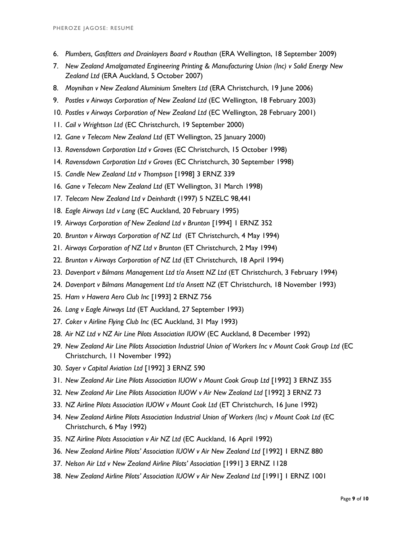- 6. *Plumbers, Gasfitters and Drainlayers Board v Routhan* (ERA Wellington, 18 September 2009)
- 7. *New Zealand Amalgamated Engineering Printing & Manufacturing Union (Inc) v Solid Energy New Zealand Ltd* (ERA Auckland, 5 October 2007)
- 8. *Moynihan v New Zealand Aluminium Smelters Ltd* (ERA Christchurch, 19 June 2006)
- 9. *Postles v Airways Corporation of New Zealand Ltd* (EC Wellington, 18 February 2003)
- 10. *Postles v Airways Corporation of New Zealand Ltd* (EC Wellington, 28 February 2001)
- 11. *Cail v Wrightson Ltd* (EC Christchurch, 19 September 2000)
- 12. *Gane v Telecom New Zealand Ltd* (ET Wellington, 25 January 2000)
- 13. *Ravensdown Corporation Ltd v Groves* (EC Christchurch, 15 October 1998)
- 14. *Ravensdown Corporation Ltd v Groves* (EC Christchurch, 30 September 1998)
- 15. *Candle New Zealand Ltd v Thompson* [1998] 3 ERNZ 339
- 16. *Gane v Telecom New Zealand Ltd* (ET Wellington, 31 March 1998)
- 17. *Telecom New Zealand Ltd v Deinhardt* (1997) 5 NZELC 98,441
- 18. *Eagle Airways Ltd v Lang* (EC Auckland, 20 February 1995)
- 19. *Airways Corporation of New Zealand Ltd v Brunton* [1994] 1 ERNZ 352
- 20. *Brunton v Airways Corporation of NZ Ltd* (ET Christchurch, 4 May 1994)
- 21. *Airways Corporation of NZ Ltd v Brunton* (ET Christchurch, 2 May 1994)
- 22. *Brunton v Airways Corporation of NZ Ltd* (ET Christchurch, 18 April 1994)
- 23. *Davenport v Bilmans Management Ltd t/a Ansett NZ Ltd* (ET Christchurch, 3 February 1994)
- 24. *Davenport v Bilmans Management Ltd t/a Ansett NZ* (ET Christchurch, 18 November 1993)
- 25. *Ham v Hawera Aero Club Inc* [1993] 2 ERNZ 756
- 26. *Lang v Eagle Airways Ltd* (ET Auckland, 27 September 1993)
- 27. *Coker v Airline Flying Club Inc* (EC Auckland, 31 May 1993)
- 28. *Air NZ Ltd v NZ Air Line Pilots Association IUOW* (EC Auckland, 8 December 1992)
- 29. *New Zealand Air Line Pilots Association Industrial Union of Workers Inc v Mount Cook Group Ltd* (EC Christchurch, 11 November 1992)
- 30. *Sayer v Capital Aviation Ltd* [1992] 3 ERNZ 590
- 31. *New Zealand Air Line Pilots Association IUOW v Mount Cook Group Ltd* [1992] 3 ERNZ 355
- 32. *New Zealand Air Line Pilots Association IUOW v Air New Zealand Ltd* [1992] 3 ERNZ 73
- 33. *NZ Airline Pilots Association IUOW v Mount Cook Ltd* (ET Christchurch, 16 June 1992)
- 34. *New Zealand Airline Pilots Association Industrial Union of Workers (Inc) v Mount Cook Ltd* (EC Christchurch, 6 May 1992)
- 35. *NZ Airline Pilots Association v Air NZ Ltd* (EC Auckland, 16 April 1992)
- 36. *New Zealand Airline Pilots' Association IUOW v Air New Zealand Ltd* [1992] 1 ERNZ 880
- 37. *Nelson Air Ltd v New Zealand Airline Pilots' Association* [1991] 3 ERNZ 1128
- 38. *New Zealand Airline Pilots' Association IUOW v Air New Zealand Ltd* [1991] 1 ERNZ 1001